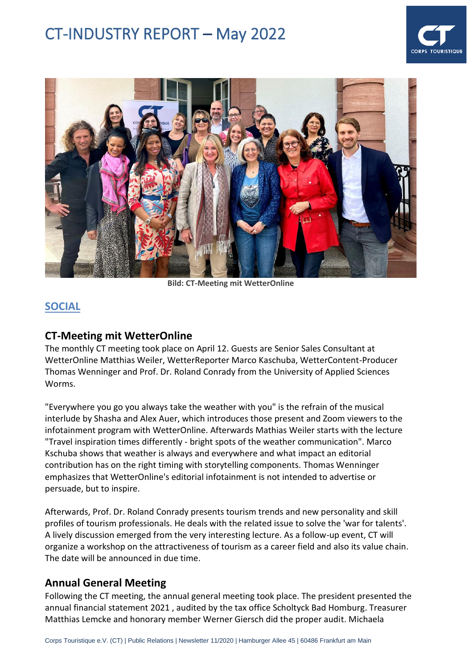



**Bild: CT-Meeting mit WetterOnline**

## **SOCIAL**

#### **CT-Meeting mit WetterOnline**

The monthly CT meeting took place on April 12. Guests are Senior Sales Consultant at WetterOnline Matthias Weiler, WetterReporter Marco Kaschuba, WetterContent-Producer Thomas Wenninger and Prof. Dr. Roland Conrady from the University of Applied Sciences Worms.

"Everywhere you go you always take the weather with you" is the refrain of the musical interlude by Shasha and Alex Auer, which introduces those present and Zoom viewers to the infotainment program with WetterOnline. Afterwards Mathias Weiler starts with the lecture "Travel inspiration times differently - bright spots of the weather communication". Marco Kschuba shows that weather is always and everywhere and what impact an editorial contribution has on the right timing with storytelling components. Thomas Wenninger emphasizes that WetterOnline's editorial infotainment is not intended to advertise or persuade, but to inspire.

Afterwards, Prof. Dr. Roland Conrady presents tourism trends and new personality and skill profiles of tourism professionals. He deals with the related issue to solve the 'war for talents'. A lively discussion emerged from the very interesting lecture. As a follow-up event, CT will organize a workshop on the attractiveness of tourism as a career field and also its value chain. The date will be announced in due time.

## **Annual General Meeting**

Following the CT meeting, the annual general meeting took place. The president presented the annual financial statement 2021 , audited by the tax office Scholtyck Bad Homburg. Treasurer Matthias Lemcke and honorary member Werner Giersch did the proper audit. Michaela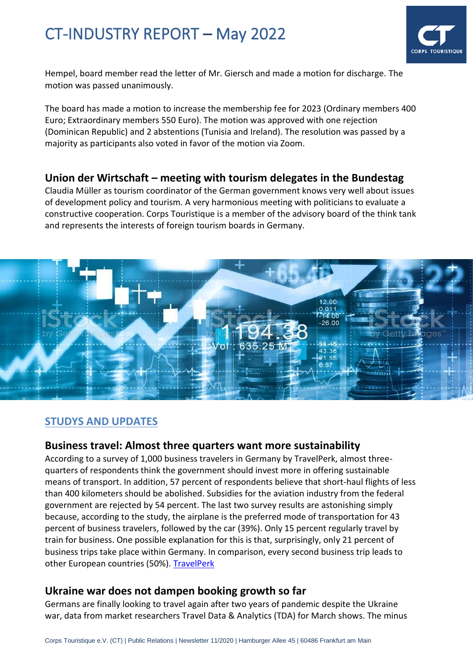

Hempel, board member read the letter of Mr. Giersch and made a motion for discharge. The motion was passed unanimously.

The board has made a motion to increase the membership fee for 2023 (Ordinary members 400 Euro; Extraordinary members 550 Euro). The motion was approved with one rejection (Dominican Republic) and 2 abstentions (Tunisia and Ireland). The resolution was passed by a majority as participants also voted in favor of the motion via Zoom.

## **Union der Wirtschaft – meeting with tourism delegates in the Bundestag**

Claudia Müller as tourism coordinator of the German government knows very well about issues of development policy and tourism. A very harmonious meeting with politicians to evaluate a constructive cooperation. Corps Touristique is a member of the advisory board of the think tank and represents the interests of foreign tourism boards in Germany.



## **STUDYS AND UPDATES**

#### **Business travel: Almost three quarters want more sustainability**

According to a survey of 1,000 business travelers in Germany by TravelPerk, almost threequarters of respondents think the government should invest more in offering sustainable means of transport. In addition, 57 percent of respondents believe that short-haul flights of less than 400 kilometers should be abolished. Subsidies for the aviation industry from the federal government are rejected by 54 percent. The last two survey results are astonishing simply because, according to the study, the airplane is the preferred mode of transportation for 43 percent of business travelers, followed by the car (39%). Only 15 percent regularly travel by train for business. One possible explanation for this is that, surprisingly, only 21 percent of business trips take place within Germany. In comparison, every second business trip leads to other European countries (50%). [TravelPerk](https://newslettertogo.com/om24s5if-noljjvcg-tjvylk47-azh)

## **Ukraine war does not dampen booking growth so far**

Germans are finally looking to travel again after two years of pandemic despite the Ukraine war, data from market researchers Travel Data & Analytics (TDA) for March shows. The minus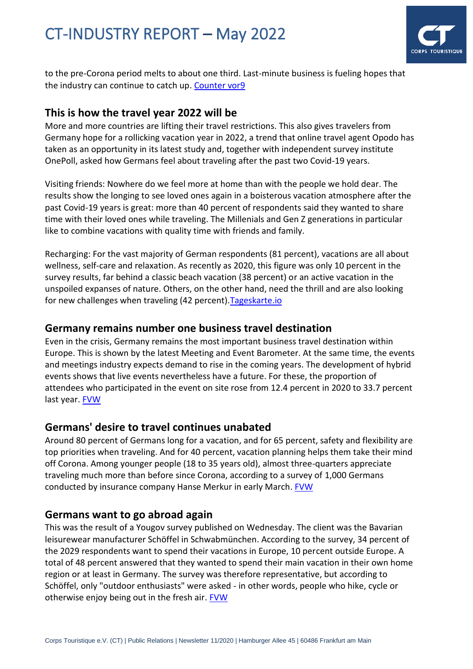

to the pre-Corona period melts to about one third. Last-minute business is fueling hopes that the industry can continue to catch up. [Counter vor9](https://mail.countervor9.de/i/F8XHD_dBStow0FrwkeLYX_fV7CaKrlV_eBq_c_WXT9g)

## **This is how the travel year 2022 will be**

More and more countries are lifting their travel restrictions. This also gives travelers from Germany hope for a rollicking vacation year in 2022, a trend that online travel agent Opodo has taken as an opportunity in its latest study and, together with independent survey institute OnePoll, asked how Germans feel about traveling after the past two Covid-19 years.

Visiting friends: Nowhere do we feel more at home than with the people we hold dear. The results show the longing to see loved ones again in a boisterous vacation atmosphere after the past Covid-19 years is great: more than 40 percent of respondents said they wanted to share time with their loved ones while traveling. The Millenials and Gen Z generations in particular like to combine vacations with quality time with friends and family.

Recharging: For the vast majority of German respondents (81 percent), vacations are all about wellness, self-care and relaxation. As recently as 2020, this figure was only 10 percent in the survey results, far behind a classic beach vacation (38 percent) or an active vacation in the unspoiled expanses of nature. Others, on the other hand, need the thrill and are also looking for new challenges when traveling (42 percent)[.Tageskarte.io](https://www.tageskarte.io/tourismus/detail/so-wird-das-reisejahr-2022-1.html?utm_campaign=nl4663&utm_medium=email&utm_source=newsletter)

#### **Germany remains number one business travel destination**

Even in the crisis, Germany remains the most important business travel destination within Europe. This is shown by the latest Meeting and Event Barometer. At the same time, the events and meetings industry expects demand to rise in the coming years. The development of hybrid events shows that live events nevertheless have a future. For these, the proportion of attendees who participated in the event on site rose from 12.4 percent in 2020 to 33.7 percent last year. [FVW](https://www.fvw.de/businesstravel/mice/meeting--und-event-barometer-deutschland-bleibt-geschaeftsreiseziel-nummer-eins-225711?utm_source=%2Fmeta%2Fnewsletter%2Ffvwammorgen&utm_medium=newsletter&utm_campaign=nl4607&utm_term=160de028eaacebc059bd8b03e3a9cc09)

#### **Germans' desire to travel continues unabated**

Around 80 percent of Germans long for a vacation, and for 65 percent, safety and flexibility are top priorities when traveling. And for 40 percent, vacation planning helps them take their mind off Corona. Among younger people (18 to 35 years old), almost three-quarters appreciate traveling much more than before since Corona, according to a survey of 1,000 Germans conducted by insurance company Hanse Merkur in early March. [FVW](https://www.fvw.de/touristik/vertrieb/hanse-merkur-reiseumfrage-wie-deutsche-urlauber-auf-nummer-sicher-gehen-225307)

## **Germans want to go abroad again**

This was the result of a Yougov survey published on Wednesday. The client was the Bavarian leisurewear manufacturer Schöffel in Schwabmünchen. According to the survey, 34 percent of the 2029 respondents want to spend their vacations in Europe, 10 percent outside Europe. A total of 48 percent answered that they wanted to spend their main vacation in their own home region or at least in Germany. The survey was therefore representative, but according to Schöffel, only "outdoor enthusiasts" were asked - in other words, people who hike, cycle or otherwise enjoy being out in the fresh air. [FVW](https://www.fvw.de/touristik/datenanalyse/repraesentative-umfrage-deutsche-urlauber-wollen-wieder-in-ausland-225449?utm_source=%2Fmeta%2Fnewsletter%2Ffvwammorgen&utm_medium=newsletter&utm_campaign=nl4562&utm_term=984f4a0b1f80072f8710e3b9f7bb3931&crefresh=1)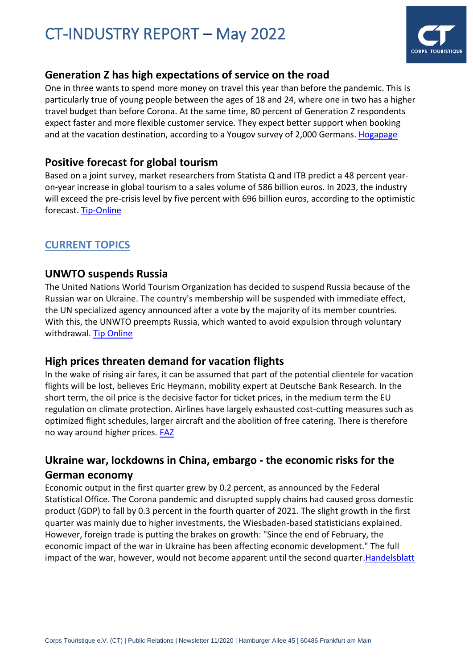

## **Generation Z has high expectations of service on the road**

One in three wants to spend more money on travel this year than before the pandemic. This is particularly true of young people between the ages of 18 and 24, where one in two has a higher travel budget than before Corona. At the same time, 80 percent of Generation Z respondents expect faster and more flexible customer service. They expect better support when booking and at the vacation destination, according to a Yougov survey of 2,000 Germans. [Hogapage](https://mail.hotelvor9.de/i/1PwCOSGs3KUFyrCYZwd7PZ95b3ifbRFjMALDhx_SDlU)

## **Positive forecast for global tourism**

Based on a joint survey, market researchers from Statista Q and ITB predict a 48 percent yearon-year increase in global tourism to a sales volume of 586 billion euros. In 2023, the industry will exceed the pre-crisis level by five percent with 696 billion euros, according to the optimistic forecast. [Tip-Online](https://mail.reisevor9.de/i/tPYbuBwOs4TH4Zg7v74IIJReG0Ad5U7-65MOZ4KOReM)

## **CURRENT TOPICS**

## **UNWTO suspends Russia**

The United Nations World Tourism Organization has decided to suspend Russia because of the Russian war on Ukraine. The country's membership will be suspended with immediate effect, the UN specialized agency announced after a vote by the majority of its member countries. With this, the UNWTO preempts Russia, which wanted to avoid expulsion through voluntary withdrawal. [Tip Online](https://mail.countervor9.de/i/AElrRgMsPT1QGMLQX3rTwLXPn1eE3mhVr22NSSqfPwc)

## **High prices threaten demand for vacation flights**

In the wake of rising air fares, it can be assumed that part of the potential clientele for vacation flights will be lost, believes Eric Heymann, mobility expert at Deutsche Bank Research. In the short term, the oil price is the decisive factor for ticket prices, in the medium term the EU regulation on climate protection. Airlines have largely exhausted cost-cutting measures such as optimized flight schedules, larger aircraft and the abolition of free catering. There is therefore no way around higher prices. [FAZ](https://mail.reisevor9.de/i/kHHBLtYJKaxsy-Pbu_AoLNgS6yuBU_rX-R3TbLu18nk)

## **Ukraine war, lockdowns in China, embargo - the economic risks for the German economy**

Economic output in the first quarter grew by 0.2 percent, as announced by the Federal Statistical Office. The Corona pandemic and disrupted supply chains had caused gross domestic product (GDP) to fall by 0.3 percent in the fourth quarter of 2021. The slight growth in the first quarter was mainly due to higher investments, the Wiesbaden-based statisticians explained. However, foreign trade is putting the brakes on growth: "Since the end of February, the economic impact of the war in Ukraine has been affecting economic development." The full impact of the war, however, would not become apparent until the second quarter[.Handelsblatt](https://www.handelsblatt.com/politik/konjunktur/nachrichten/konjunktur-ukraine-krieg-lockdowns-in-china-embargo-die-konjunkturrisiken-der-deutschen-wirtschaft/28289774.html?utm_campaign=hb-update&utm_content=03052022&utm_medium=nl&utm_source=red)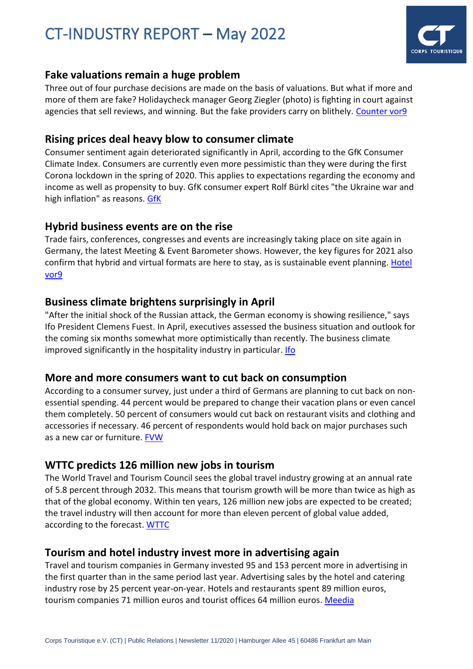

## **Fake valuations remain a huge problem**

Three out of four purchase decisions are made on the basis of valuations. But what if more and more of them are fake? Holidaycheck manager Georg Ziegler (photo) is fighting in court against agencies that sell reviews, and winning. But the fake providers carry on blithely. [Counter vor9](https://mail.countervor9.de/i/EOVDnA2ZGDsn1GINhfV_S0zzE4fiS_G9tgChAqjmqUE)

#### **Rising prices deal heavy blow to consumer climate**

Consumer sentiment again deteriorated significantly in April, according to the GfK Consumer Climate Index. Consumers are currently even more pessimistic than they were during the first Corona lockdown in the spring of 2020. This applies to expectations regarding the economy and income as well as propensity to buy. GfK consumer expert Rolf Bürkl cites "the Ukraine war and high inflation" as reasons. [GfK](https://mail.hotelvor9.de/i/qouyfwYww4_4ZtssdV2IajwlaTPx6ANb1UuE9CMfXow)

## **Hybrid business events are on the rise**

Trade fairs, conferences, congresses and events are increasingly taking place on site again in Germany, the latest Meeting & Event Barometer shows. However, the key figures for 2021 also confirm that hybrid and virtual formats are here to stay, as is sustainable event planning. [Hotel](https://mail.hotelvor9.de/i/6o1HqEoHjSuKaSo3HwMnjm5l1Kbx5qi2Lp6oztTG-pE)  [vor9](https://mail.hotelvor9.de/i/6o1HqEoHjSuKaSo3HwMnjm5l1Kbx5qi2Lp6oztTG-pE)

## **Business climate brightens surprisingly in April**

"After the initial shock of the Russian attack, the German economy is showing resilience," says Ifo President Clemens Fuest. In April, executives assessed the business situation and outlook for the coming six months somewhat more optimistically than recently. The business climate improved significantly in the hospitality industry in particular. [Ifo](https://mail.reisevor9.de/i/Yh1dpIFk12O9pH66SDdc2BRu3BKpK8o1iIR6Vg9B7tc)

#### **More and more consumers want to cut back on consumption**

According to a consumer survey, just under a third of Germans are planning to cut back on nonessential spending. 44 percent would be prepared to change their vacation plans or even cancel them completely. 50 percent of consumers would cut back on restaurant visits and clothing and accessories if necessary. 46 percent of respondents would hold back on major purchases such as a new car or furniture. [FVW](https://mail.reisevor9.de/i/4JNKpOSHhx-7WALwETf0FUZqfolZcx8SkSydb2MBoco)

## **WTTC predicts 126 million new jobs in tourism**

The World Travel and Tourism Council sees the global travel industry growing at an annual rate of 5.8 percent through 2032. This means that tourism growth will be more than twice as high as that of the global economy. Within ten years, 126 million new jobs are expected to be created; the travel industry will then account for more than eleven percent of global value added, according to the forecast. [WTTC](https://mail.reisevor9.de/i/ySJPlUntPAggrTNZUqsK99v2SPhlcILiBukygPLsd_w)

## **Tourism and hotel industry invest more in advertising again**

Travel and tourism companies in Germany invested 95 and 153 percent more in advertising in the first quarter than in the same period last year. Advertising sales by the hotel and catering industry rose by 25 percent year-on-year. Hotels and restaurants spent 89 million euros, tourism companies 71 million euros and tourist offices 64 million euros. [Meedia](https://mail.hotelvor9.de/i/Nv3rfmu1EzB5u1ndNmD2n--6SxBYZLYWJBV49b02F4M)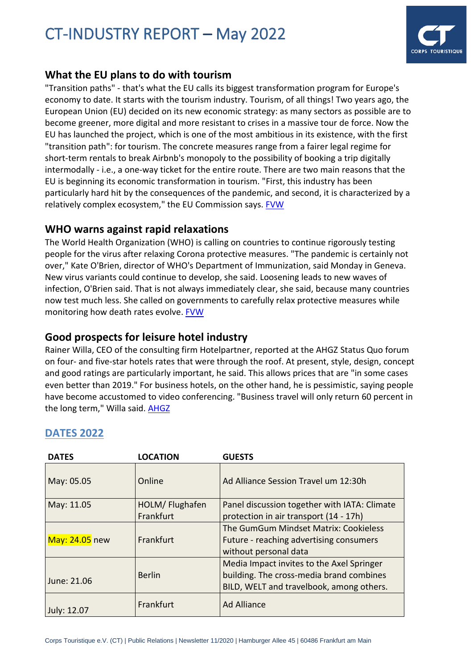

## **What the EU plans to do with tourism**

"Transition paths" - that's what the EU calls its biggest transformation program for Europe's economy to date. It starts with the tourism industry. Tourism, of all things! Two years ago, the European Union (EU) decided on its new economic strategy: as many sectors as possible are to become greener, more digital and more resistant to crises in a massive tour de force. Now the EU has launched the project, which is one of the most ambitious in its existence, with the first "transition path": for tourism. The concrete measures range from a fairer legal regime for short-term rentals to break Airbnb's monopoly to the possibility of booking a trip digitally intermodally - i.e., a one-way ticket for the entire route. There are two main reasons that the EU is beginning its economic transformation in tourism. "First, this industry has been particularly hard hit by the consequences of the pandemic, and second, it is characterized by a relatively complex ecosystem," the EU Commission says. [FVW](https://www.fvw.de/touristik/destination/ehrgeizige-plaene-wie-die-eu-den-tourismus-reformiert-225510?utm_source=%2Fmeta%2Fnewsletter%2Ffvwammorgen&utm_medium=newsletter&utm_campaign=nl4577&utm_term=160de028eaacebc059bd8b03e3a9cc09)

## **WHO warns against rapid relaxations**

The World Health Organization (WHO) is calling on countries to continue rigorously testing people for the virus after relaxing Corona protective measures. "The pandemic is certainly not over," Kate O'Brien, director of WHO's Department of Immunization, said Monday in Geneva. New virus variants could continue to develop, she said. Loosening leads to new waves of infection, O'Brien said. That is not always immediately clear, she said, because many countries now test much less. She called on governments to carefully relax protective measures while monitoring how death rates evolve. [FVW](https://www.fvw.de/touristik/destination/corona-pandemie-nicht-vorbei-who-warnt-vor-schnellen-lockerungen-225412?utm_source=%2Fmeta%2Fnewsletter%2Ffvwammorgen&utm_medium=newsletter&utm_campaign=nl4557&utm_term=160de028eaacebc059bd8b03e3a9cc09)

## **Good prospects for leisure hotel industry**

Rainer Willa, CEO of the consulting firm Hotelpartner, reported at the AHGZ Status Quo forum on four- and five-star hotels rates that were through the roof. At present, style, design, concept and good ratings are particularly important, he said. This allows prices that are "in some cases even better than 2019." For business hotels, on the other hand, he is pessimistic, saying people have become accustomed to video conferencing. "Business travel will only return 60 percent in the long term," Willa said. AHGZ

| <b>DATES</b>   | <b>LOCATION</b> | <b>GUESTS</b>                                |  |
|----------------|-----------------|----------------------------------------------|--|
| May: 05.05     | Online          | Ad Alliance Session Travel um 12:30h         |  |
| May: 11.05     | HOLM/ Flughafen | Panel discussion together with IATA: Climate |  |
|                | Frankfurt       | protection in air transport (14 - 17h)       |  |
|                |                 | The GumGum Mindset Matrix: Cookieless        |  |
| May: 24.05 new | Frankfurt       | Future - reaching advertising consumers      |  |
|                |                 | without personal data                        |  |
|                |                 | Media Impact invites to the Axel Springer    |  |
| June: 21.06    | <b>Berlin</b>   | building. The cross-media brand combines     |  |
|                |                 | BILD, WELT and travelbook, among others.     |  |
| July: 12.07    | Frankfurt       | <b>Ad Alliance</b>                           |  |

## **DATES 2022**